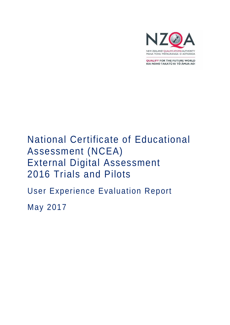

MANA TOHU MATAURANGA O AOTEAROA

QUALIFY FOR THE FUTURE WORLD KIA NOHO TAKATŪ KI TŌ ĀMUA AO!

# National Certificate of Educational Assessment (NCEA) External Digital Assessment 2016 Trials and Pilots

User Experience Evaluation Report

May 2017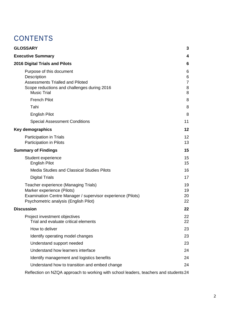# **CONTENTS**

| <b>GLOSSARY</b>                                                                                                                                                            | 3                                  |
|----------------------------------------------------------------------------------------------------------------------------------------------------------------------------|------------------------------------|
| <b>Executive Summary</b>                                                                                                                                                   | 4                                  |
| 2016 Digital Trials and Pilots                                                                                                                                             | 6                                  |
| Purpose of this document<br>Description<br><b>Assessments Trialled and Piloted</b><br>Scope reductions and challenges during 2016<br><b>Music Trial</b>                    | 6<br>6<br>$\overline{7}$<br>8<br>8 |
| <b>French Pilot</b>                                                                                                                                                        | 8                                  |
| Tahi                                                                                                                                                                       | 8                                  |
| <b>English Pilot</b>                                                                                                                                                       | 8                                  |
| <b>Special Assessment Conditions</b>                                                                                                                                       | 11                                 |
| Key demographics                                                                                                                                                           | 12                                 |
| <b>Participation in Trials</b><br>Participation in Pilots                                                                                                                  | 12<br>13                           |
| <b>Summary of Findings</b>                                                                                                                                                 | 15                                 |
| Student experience<br><b>English Pilot</b>                                                                                                                                 | 15<br>15                           |
| <b>Media Studies and Classical Studies Pilots</b>                                                                                                                          | 16                                 |
| <b>Digital Trials</b>                                                                                                                                                      | 17                                 |
| Teacher experience (Managing Trials)<br>Marker experience (Pilots)<br>Examination Centre Manager / supervisor experience (Pilots)<br>Psychometric analysis (English Pilot) | 19<br>19<br>20<br>22               |
| <b>Discussion</b>                                                                                                                                                          | 22                                 |
| Project investment objectives<br>Trial and evaluate critical elements                                                                                                      | 22<br>22                           |
| How to deliver                                                                                                                                                             | 23                                 |
| Identify operating model changes                                                                                                                                           | 23                                 |
| Understand support needed                                                                                                                                                  | 23                                 |
| Understand how learners interface                                                                                                                                          | 24                                 |
| Identify management and logistics benefits                                                                                                                                 | 24                                 |
| Understand how to transition and embed change                                                                                                                              | 24                                 |
| $\mathsf{Definition}$ on NZOA approach to working with school loaders, togehers and students $24$                                                                          |                                    |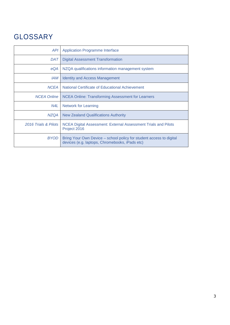# <span id="page-2-0"></span>GLOSSARY

| <b>API</b>           | <b>Application Programme Interface</b>                                                                                |
|----------------------|-----------------------------------------------------------------------------------------------------------------------|
| DAT                  | <b>Digital Assessment Transformation</b>                                                                              |
| eQA                  | NZQA qualifications information management system                                                                     |
| IAM                  | <b>Identity and Access Management</b>                                                                                 |
| <b>NCEA</b>          | National Certificate of Educational Achievement                                                                       |
| <b>NCEA Online</b>   | <b>NCEA Online: Transforming Assessment for Learners</b>                                                              |
| N4L                  | Network for Learning                                                                                                  |
| <b>NZQA</b>          | <b>New Zealand Qualifications Authority</b>                                                                           |
| 2016 Trials & Pilots | NCEA Digital Assessment: External Assessment Trials and Pilots<br>Project 2016                                        |
| <b>BYOD</b>          | Bring Your Own Device – school policy for student access to digital<br>devices (e.g. laptops, Chromebooks, iPads etc) |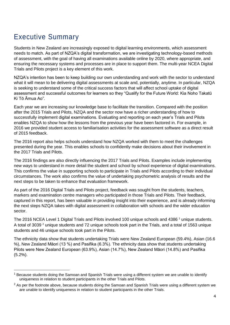# <span id="page-3-0"></span>Executive Summary

**.** 

Students in New Zealand are increasingly exposed to digital learning environments, which assessment needs to match. As part of NZQA's digital transformation, we are investigating technology-based methods of assessment, with the goal of having all examinations available online by 2020, where appropriate, and ensuring the necessary systems and processes are in place to support them. The multi-year NCEA Digital Trials and Pilots project is a key element of this work.

NZQA's intention has been to keep building our own understanding and work with the sector to understand what it will mean to be delivering digital assessments at scale and, potentially, anytime. In particular, NZQA is seeking to understand some of the critical success factors that will affect school uptake of digital assessment and successful outcomes for learners so they "Qualify for the Future World: Kia Noho Takatū Ki Tō Āmua Ao".

Each year we are increasing our knowledge base to facilitate the transition. Compared with the position after the 2015 Trials and Pilots, NZQA and the sector now have a richer understanding of how to successfully implement digital examinations. Evaluating and reporting on each year's Trials and Pilots enables NZQA to show how the lessons from the previous year have been factored in. For example, in 2016 we provided student access to familiarisation activities for the assessment software as a direct result of 2015 feedback.

The 2016 report also helps schools understand how NZQA worked with them to meet the challenges presented during the year. This enables schools to confidently make decisions about their involvement in the 2017 Trials and Pilots.

The 2016 findings are also directly influencing the 2017 Trials and Pilots. Examples include implementing new ways to understand in more detail the student and school by school experience of digital examinations. This confirms the value in supporting schools to participate in Trials and Pilots according to their individual circumstances. The work also confirms the value of undertaking psychometric analysis of results and the next steps to be taken to enhance that evaluation framework.

As part of the 2016 Digital Trials and Pilots project, feedback was sought from the students, teachers, markers and examination centre managers who participated in those Trials and Pilots. Their feedback, captured in this report, has been valuable in providing insight into their experience, and is already informing the next steps NZQA takes with digital assessment in collaboration with schools and the wider education sector.

The 2016 NCEA Level 1 Digital Trials and Pilots involved 100 unique schools and 4386<sup>1</sup> unique students. A total of 3039 <sup>2</sup> unique students and 72 unique schools took part in the Trials, and a total of 1563 unique students and 46 unique schools took part in the Pilots.

The ethnicity data show that students undertaking Trials were New Zealand European (59.4%), Asian (16.6 %), New Zealand Māori (13 %) and Pasifika (6.3%). The ethnicity data show that students undertaking Pilots were New Zealand European (63.9%), Asian (14.7%), New Zealand Māori (14.8%) and Pasifika (5.2%).

 $<sup>1</sup>$  Because students doing the Samoan and Spanish Trials were using a different system we are unable to identify</sup> uniqueness in relation to student participants in the other Trials and Pilots.

 $2$  As per the footnote above, because students doing the Samoan and Spanish Trials were using a different system we are unable to identify uniqueness in relation to student participants in the other Trials.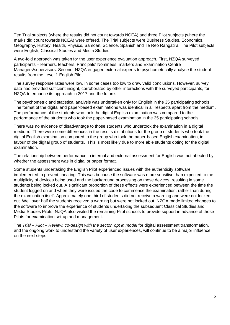Ten Trial subjects (where the results did not count towards NCEA) and three Pilot subjects (where the marks did count towards NCEA) were offered. The Trial subjects were Business Studies, Economics, Geography, History, Health, Physics, Samoan, Science, Spanish and Te Reo Rangatira. The Pilot subjects were English, Classical Studies and Media Studies.

A two-fold approach was taken for the user experience evaluation approach. First, NZQA surveyed participants – learners, teachers, Principals' Nominees, markers and Examination Centre Managers/supervisors. Second, NZQA engaged external experts to psychometrically analyse the student results from the Level 1 English Pilot.

The survey response rates were low, in some cases too low to draw valid conclusions. However, survey data has provided sufficient insight, corroborated by other interactions with the surveyed participants, for NZQA to enhance its approach in 2017 and the future.

The psychometric and statistical analysis was undertaken only for English in the 35 participating schools. The format of the digital and paper-based examinations was identical in all respects apart from the medium. The performance of the students who took the digital English examination was compared to the performance of the students who took the paper-based examination in the 35 participating schools.

There was no evidence of disadvantage to those students who undertook the examination in a digital medium. There were some differences in the results distributions for the group of students who took the digital English examination compared to the group who took the paper-based English examination, in favour of the digital group of students. This is most likely due to more able students opting for the digital examination.

The relationship between performance in internal and external assessment for English was not affected by whether the assessment was in digital or paper format.

Some students undertaking the English Pilot experienced issues with the authenticity software implemented to prevent cheating. This was because the software was more sensitive than expected to the multiplicity of devices being used and the background processing on these devices, resulting in some students being locked out. A significant proportion of these effects were experienced between the time the student logged on and when they were issued the code to commence the examination, rather than during the examination itself. Approximately one third of students did not receive a warning and were not locked out. Well over half the students received a warning but were not locked out. NZQA made limited changes to the software to improve the experience of students undertaking the subsequent Classical Studies and Media Studies Pilots. NZQA also visited the remaining Pilot schools to provide support in advance of those Pilots for examination set-up and management.

The *Trial – Pilot – Review, co-design with the sector, opt in model* for digital assessment transformation, and the ongoing work to understand the variety of user experiences, will continue to be a major influence on the next steps.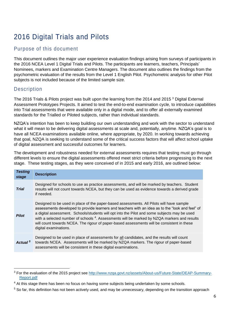# <span id="page-5-0"></span>2016 Digital Trials and Pilots

# <span id="page-5-1"></span>Purpose of this document

This document outlines the major user experience evaluation findings arising from surveys of participants in the 2016 NCEA Level 1 Digital Trials and Pilots. The participants are learners, teachers, Principals' Nominees, markers and Examination Centre Managers. The document also outlines the findings from the psychometric evaluation of the results from the Level 1 English Pilot. Psychometric analysis for other Pilot subjects is not included because of the limited sample size.

# <span id="page-5-2"></span>**Description**

**.** 

The 2016 Trials & Pilots project was built upon the learning from the 2014 and 2015<sup>3</sup> Digital External Assessment Prototypes Projects. It aimed to test the end-to-end examination cycle, to introduce capabilities into Trial assessments that were available only in a digital mode, and to offer all externally examined standards for the Trialled or Piloted subjects, rather than individual standards.

NZQA's intention has been to keep building our own understanding and work with the sector to understand what it will mean to be delivering digital assessments at scale and, potentially, anytime. NZQA's goal is to have all NCEA examinations available online, where appropriate, by 2020. In working towards achieving that goal, NZQA is seeking to understand some of the critical success factors that will affect school uptake of digital assessment and successful outcomes for learners.

The development and robustness needed for external assessments requires that testing must go through different levels to ensure the digital assessments offered meet strict criteria before progressing to the next stage. These testing stages, as they were conceived of in 2015 and early 2016, are outlined below:

| <b>Testing</b><br>stage | <b>Description</b>                                                                                                                                                                                                                                                                                                                                                                                                                                                                                                             |
|-------------------------|--------------------------------------------------------------------------------------------------------------------------------------------------------------------------------------------------------------------------------------------------------------------------------------------------------------------------------------------------------------------------------------------------------------------------------------------------------------------------------------------------------------------------------|
| <b>Trial</b>            | Designed for schools to use as practice assessments, and will be marked by teachers. Student<br>results will not count towards NCEA, but they can be used as evidence towards a derived grade<br>if needed.                                                                                                                                                                                                                                                                                                                    |
| <b>Pilot</b>            | Designed to be used in place of the paper-based assessments. All Pilots will have sample<br>assessments developed to provide learners and teachers with an idea as to the "look and feel" of<br>a digital assessment. Schools/students will opt into the Pilot and some subjects may be used<br>with a selected number of schools <sup>4</sup> . Assessments will be marked by NZQA markers and results<br>will count towards NCEA. The rigour of paper-based assessments will be consistent in these<br>digital examinations. |
| Actual <sup>5</sup>     | Designed to be used in place of assessments for all candidates, and the results will count<br>towards NCEA. Assessments will be marked by NZQA markers. The rigour of paper-based<br>assessments will be consistent in these digital examinations.                                                                                                                                                                                                                                                                             |

<sup>&</sup>lt;sup>3</sup> For the evaluation of the 2015 project see [http://www.nzqa.govt.nz/assets/About-us/Future-State/DEAP-Summary-](http://www.nzqa.govt.nz/assets/About-us/Future-State/DEAP-Summary-Report.pdf)[Report.pdf](http://www.nzqa.govt.nz/assets/About-us/Future-State/DEAP-Summary-Report.pdf)

 $4$  At this stage there has been no focus on having some subjects being undertaken by some schools.

<sup>&</sup>lt;sup>5</sup> So far, this definition has not been actively used, and may be unnecessary, depending on the transition approach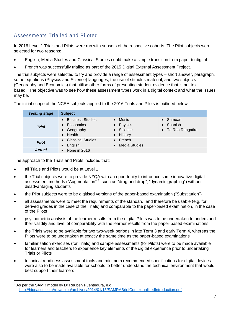# <span id="page-6-0"></span>Assessments Trialled and Piloted

In 2016 Level 1 Trials and Pilots were run with subsets of the respective cohorts. The Pilot subjects were selected for two reasons:

- English, Media Studies and Classical Studies could make a simple transition from paper to digital
- French was successfully trialled as part of the 2015 Digital External Assessment Project.

The trial subjects were selected to try and provide a range of assessment types – short answer, paragraph, some equations (Physics and Science) languages, the use of stimulus material, and two subjects (Geography and Economics) that utilise other forms of presenting student evidence that is not text based. The objective was to see how these assessment types work in a digital context and what the issues may be.

The initial scope of the NCEA subjects applied to the 2016 Trials and Pilots is outlined below.

| <b>Testing stage</b> | <b>Subject</b>                                                          |                                                        |                                                     |
|----------------------|-------------------------------------------------------------------------|--------------------------------------------------------|-----------------------------------------------------|
| <b>Trial</b>         | <b>Business Studies</b><br>Economics<br>• Geography<br>$\bullet$ Health | $\bullet$ Music<br>• Physics<br>• Science<br>• History | $\bullet$ Samoan<br>• Spanish<br>• Te Reo Rangatira |
| <b>Pilot</b>         | <b>Classical Studies</b><br>English<br>$\bullet$                        | $\bullet$ French<br>• Media Studies                    |                                                     |
| <b>Actual</b>        | None in 2016                                                            |                                                        |                                                     |

The approach to the Trials and Pilots included that:

• all Trials and Pilots would be at Level 1

1

- the Trial subjects were to provide NZQA with an opportunity to introduce some innovative digital assessment methods ("Augmentation" <sup>6</sup>, such as "drag and drop", "dynamic graphing") without disadvantaging students
- the Pilot subjects were to be digitised versions of the paper-based examination ("Substitution")
- all assessments were to meet the requirements of the standard, and therefore be usable (e.g. for derived grades in the case of the Trials) and comparable to the paper-based examination, in the case of the Pilots
- psychometric analysis of the learner results from the digital Pilots was to be undertaken to understand their validity and level of comparability with the learner results from the paper-based examinations
- the Trials were to be available for two two-week periods in late Term 3 and early Term 4, whereas the Pilots were to be undertaken at exactly the same time as the paper-based examinations
- familiarisation exercises (for Trials) and sample assessments (for Pilots) were to be made available for learners and teachers to experience key elements of the digital experience prior to undertaking Trials or Pilots
- technical readiness assessment tools and minimum recommended specifications for digital devices were also to be made available for schools to better understand the technical environment that would best support their learners

 $6$  As per the SAMR model by Dr Reuben Puentedura, e.g. <http://hippasus.com/rrpweblog/archives/2014/01/15/SAMRABriefContextualizedIntroduction.pdf>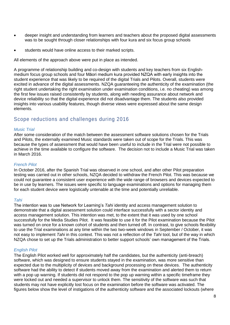- deeper insight and understanding from learners and teachers about the proposed digital assessments was to be sought through closer relationships with four kura and six focus group schools
- students would have online access to their marked scripts.

All elements of the approach above were put in place as intended.

A programme of relationship building and co-design with students and key teachers from six Englishmedium focus group schools and four Māori medium kura provided NZQA with early insights into the student experience that was likely to be required of the digital Trials and Pilots. Overall, students were excited in advance of the digital assessments. NZQA guaranteeing the authenticity of the examination (the right student undertaking the right examination under examination conditions, i.e. no cheating) was among the first few issues raised consistently by students, along with needing assurance about network and device reliability so that the digital experience did not disadvantage them. The students also provided insights into various usability features, though diverse views were expressed about the same design elements.

# <span id="page-7-0"></span>Scope reductions and challenges during 2016

#### <span id="page-7-1"></span>*Music Trial*

After some consideration of the match between the assessment software solutions chosen for the Trials and Pilots, the externally examined Music standards were taken out of scope for the Trials. This was because the types of assessment that would have been useful to include in the Trial were not possible to achieve in the time available to configure the software. The decision not to include a Music Trial was taken in March 2016.

#### <span id="page-7-2"></span>*French Pilot*

In October 2016, after the Spanish Trial was observed in one school, and after other Pilot preparation testing was carried out in other schools, NZQA decided to withdraw the French Pilot. This was because we could not guarantee a consistent user experience with the wide range of browsers and devices expected to be in use by learners. The issues were specific to language examinations and options for managing them for each student device were logistically untenable at the time and potentially unreliable.

#### <span id="page-7-3"></span>*Tahi*

The intention was to use Network for Learning's *Tahi* identity and access management solution to demonstrate that a digital assessment solution could interface successfully with a sector identity and access management solution. This intention was met, to the extent that it was used by one school successfully for the Media Studies Pilot. It was feasible to use it for the Pilot examination because the Pilot was turned on once for a known cohort of students and then turned off. In contrast, to give schools flexibility to use the Trial examinations at any time within the two two-week windows in September / October, it was not easy to implement *Tahi* in this context. This was not a reflection of the *Tahi* tool, but of the way in which NZQA chose to set up the Trials administration to better support schools' own management of the Trials.

### <span id="page-7-4"></span>*English Pilot*

The English Pilot worked well for approximately half the candidates, but the authenticity (anti-breach) software, which was designed to ensure students stayed in the examination, was more sensitive than expected due to the multiplicity of devices and background processing on these devices. The authenticity software had the ability to detect if students moved away from the examination and alerted them to return with a pop up warning. If students did not respond to the pop up warning within a specific timeframe they were locked out and needed a supervisor to unlock them. The sensitivity of the software was such that students may not have explicitly lost focus on the examination before the software was activated. The figures below show the level of instigations of the authenticity software and the associated lockouts (where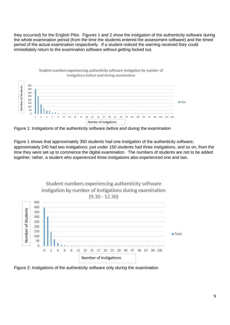they occurred) for the English Pilot. Figures 1 and 2 show the instigation of the authenticity software during the whole examination period (from the time the students entered the assessment software) and the timed period of the actual examination respectively. If a student noticed the warning received they could immediately return to the examination software without getting locked out.



Figure 1: Instigations of the authenticity software *before and during* the examination

Figure 1 shows that approximately 350 students had one instigation of the authenticity software; approximately 240 had two instigations; just under 150 students had three instigations, and so on, from the time they were set up to commence the digital examination. The numbers of students are not to be added together; rather, a student who experienced three instigations also experienced one and two.



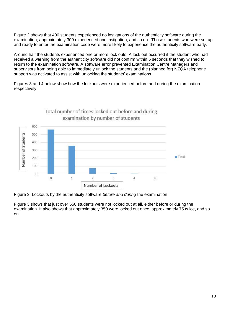Figure 2 shows that 400 students experienced no instigations of the authenticity software during the examination; approximately 300 experienced one instigation, and so on. Those students who were set up and ready to enter the examination code were more likely to experience the authenticity software early.

Around half the students experienced one or more lock outs. A lock out occurred if the student who had received a warning from the authenticity software did not confirm within 5 seconds that they wished to return to the examination software. A software error prevented Examination Centre Managers and supervisors from being able to immediately unlock the students and the (planned for) NZQA telephone support was activated to assist with unlocking the students' examinations.

Figures 3 and 4 below show how the lockouts were experienced before and during the examination respectively.



Figure 3: Lockouts by the authenticity software *before and during* the examination

Figure 3 shows that just over 550 students were not locked out at all, either before or during the examination. It also shows that approximately 350 were locked out once, approximately 75 twice, and so on.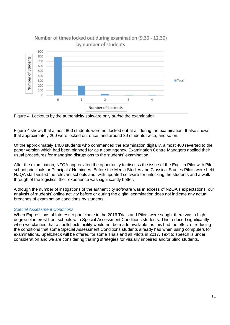

Figure 4: Lockouts by the authenticity software only *during* the examination

Figure 4 shows that almost 800 students were not locked out at all during the examination. It also shows that approximately 200 were locked out once, and around 30 students twice, and so on.

Of the approximately 1400 students who commenced the examination digitally, almost 400 reverted to the paper version which had been planned for as a contingency. Examination Centre Managers applied their usual procedures for managing disruptions to the students' examination.

After the examination, NZQA appreciated the opportunity to discuss the issue of the English Pilot with Pilot school principals or Principals' Nominees. Before the Media Studies and Classical Studies Pilots were held NZQA staff visited the relevant schools and, with updated software for unlocking the students and a walkthrough of the logistics, their experience was significantly better.

Although the number of instigations of the authenticity software was in excess of NZQA's expectations, our analysis of students' online activity before or during the digital examination does not indicate any actual breaches of examination conditions by students.

# <span id="page-10-0"></span>*Special Assessment Conditions*

When Expressions of Interest to participate in the 2016 Trials and Pilots were sought there was a high degree of interest from schools with Special Assessment Conditions students. This reduced significantly when we clarified that a spellcheck facility would not be made available, as this had the effect of reducing the conditions that some Special Assessment Conditions students already had when using computers for examinations. Spellcheck will be offered for some Trials and all Pilots in 2017. Text to speech is under consideration and we are considering trialling strategies for visually impaired and/or blind students.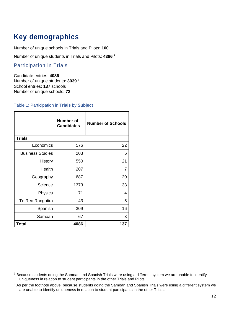# <span id="page-11-0"></span>**Key demographics**

Number of unique schools in Trials and Pilots: **100**

Number of unique students in Trials and Pilots: **4386 <sup>7</sup>**

<span id="page-11-1"></span>Participation in Trials

**.** 

Candidate entries: **4086** Number of unique students: **3039 <sup>8</sup>** School entries: **137** schools Number of unique schools: **72**

## Table 1: Participation in **Trials** by **Subject**

|                         | <b>Number of</b><br><b>Candidates</b> | <b>Number of Schools</b> |
|-------------------------|---------------------------------------|--------------------------|
| <b>Trials</b>           |                                       |                          |
| Economics               | 576                                   | 22                       |
| <b>Business Studies</b> | 203                                   | 6                        |
| History                 | 550                                   | 21                       |
| Health                  | 207                                   | 7                        |
| Geography               | 687                                   | 20                       |
| Science                 | 1373                                  | 33                       |
| Physics                 | 71                                    | 4                        |
| Te Reo Rangatira        | 43                                    | 5                        |
| Spanish                 | 309                                   | 16                       |
| Samoan                  | 67                                    | 3                        |
| <b>Total</b>            | 4086                                  | 137                      |

<sup>&</sup>lt;sup>7</sup> Because students doing the Samoan and Spanish Trials were using a different system we are unable to identify uniqueness in relation to student participants in the other Trials and Pilots.

<sup>&</sup>lt;sup>8</sup> As per the footnote above, because students doing the Samoan and Spanish Trials were using a different system we are unable to identify uniqueness in relation to student participants in the other Trials.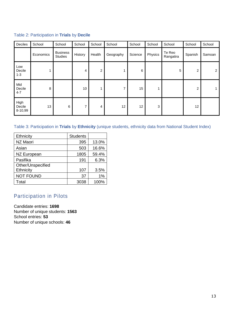## Table 2: Participation in **Trials** by **Decile**

| Deciles                   | School    | School                            | School         | School | School    | School  | School  | School              | School  | School         |
|---------------------------|-----------|-----------------------------------|----------------|--------|-----------|---------|---------|---------------------|---------|----------------|
|                           | Economics | <b>Business</b><br><b>Studies</b> | History        | Health | Geography | Science | Physics | Te Reo<br>Rangatira | Spanish | Samoan         |
| Low<br>Decile<br>$1 - 3$  |           |                                   | 4              | 2      | 1         | 6       |         | 5                   | 2       | $\overline{2}$ |
| Mid<br>Decile<br>$4 - 7$  | 8         |                                   | 10             |        | 7         | 15      |         |                     | 2       |                |
| High<br>Decile<br>8-10,99 | 13        | 6                                 | $\overline{ }$ | 4      | 12        | 12      | 3       |                     | 12      |                |

# Table 3: Participation in **Trials** by **Ethnicity** (unique students, ethnicity data from National Student Index)

| Ethnicity         | <b>Students</b> |       |
|-------------------|-----------------|-------|
| NZ Maori          | 395             | 13.0% |
| Asian             | 503             | 16.6% |
| NZ European       | 1805            | 59.4% |
| Pasifika          | 191             | 6.3%  |
| Other/Unspecified |                 |       |
| Ethnicity         | 107             | 3.5%  |
| <b>NOT FOUND</b>  | 37              | 1%    |
| Total             | 3038            | 100%  |

# <span id="page-12-0"></span>Participation in Pilots

Candidate entries: **1698** Number of unique students: **1563** School entries: **53** Number of unique schools: **46**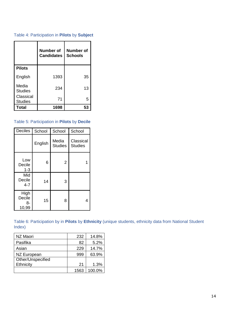# Table 4: Participation in **Pilots** by **Subject**

|                             | Number of<br><b>Candidates</b> | <b>Number of</b><br><b>Schools</b> |
|-----------------------------|--------------------------------|------------------------------------|
| <b>Pilots</b>               |                                |                                    |
| English                     | 1393                           | 35                                 |
| Media<br><b>Studies</b>     | 234                            | 13                                 |
| Classical<br><b>Studies</b> | 71                             | 5                                  |
| Total                       | 1698                           | 53                                 |

## Table 5: Participation in **Pilots** by **Decile**

| Deciles                       | School  | School                  | School                      |
|-------------------------------|---------|-------------------------|-----------------------------|
|                               | English | Media<br><b>Studies</b> | Classical<br><b>Studies</b> |
| Low<br>Decile<br>$1 - 3$      | 6       | $\overline{2}$          |                             |
| Mid<br>Decile<br>$4 - 7$      | 14      | 3                       |                             |
| High<br>Decile<br>8-<br>10,99 | 15      | 8                       | 4                           |

Table 6: Participation by in **Pilots** by **Ethnicity** (unique students, ethnicity data from National Student Index)

| NZ Maori          | 232  | 14.8%  |
|-------------------|------|--------|
| Pasifika          | 82   | 5.2%   |
| Asian             | 229  | 14.7%  |
| NZ European       | 999  | 63.9%  |
| Other/Unspecified |      |        |
| Ethnicity         | 21   | 1.3%   |
|                   | 1563 | 100.0% |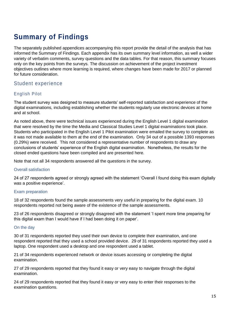# <span id="page-14-0"></span>**Summary of Findings**

The separately published appendices accompanying this report provide the detail of the analysis that has informed the Summary of Findings. Each appendix has its own summary level information, as well a wider variety of verbatim comments, survey questions and the data tables. For that reason, this summary focuses only on the key points from the surveys. The discussion on achievement of the project investment objectives outlines where more learning is required, where changes have been made for 2017 or planned for future consideration.

# <span id="page-14-1"></span>Student experience

# <span id="page-14-2"></span>English Pilot

The student survey was designed to measure students' self-reported satisfaction and experience of the digital examinations, including establishing whether the students regularly use electronic devices at home and at school.

As noted above, there were technical issues experienced during the English Level 1 digital examination that were resolved by the time the Media and Classical Studies Level 1 digital examinations took place. Students who participated in the English Level 1 Pilot examination were emailed the survey to complete as it was not made available to them at the end of the examination. Only 34 out of a possible 1393 responses (0.29%) were received. This not considered a representative number of respondents to draw any conclusions of students' experience of the English digital examination. Nonetheless, the results for the closed ended questions have been compiled and are presented here.

Note that not all 34 respondents answered all the questions in the survey.

### Overall satisfaction

24 of 27 respondents agreed or strongly agreed with the statement 'Overall I found doing this exam digitally was a positive experience'.

## Exam preparation

18 of 32 respondents found the sample assessments very useful in preparing for the digital exam. 10 respondents reported not being aware of the existence of the sample assessments.

23 of 26 respondents disagreed or strongly disagreed with the statement 'I spent more time preparing for this digital exam than I would have if I had been doing it on paper'.

## On the day

30 of 31 respondents reported they used their own device to complete their examination, and one respondent reported that they used a school provided device. 29 of 31 respondents reported they used a laptop. One respondent used a desktop and one respondent used a tablet.

21 of 34 respondents experienced network or device issues accessing or completing the digital examination.

27 of 29 respondents reported that they found it easy or very easy to navigate through the digital examination.

24 of 29 respondents reported that they found it easy or very easy to enter their responses to the examination questions.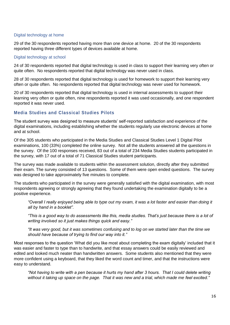## Digital technology at home

29 of the 30 respondents reported having more than one device at home. 20 of the 30 respondents reported having three different types of devices available at home.

#### Digital technology at school

24 of 30 respondents reported that digital technology is used in class to support their learning very often or quite often. No respondents reported that digital technology was never used in class.

28 of 30 respondents reported that digital technology is used for homework to support their learning very often or quite often. No respondents reported that digital technology was never used for homework.

20 of 30 respondents reported that digital technology is used in internal assessments to support their learning very often or quite often, nine respondents reported it was used occasionally, and one respondent reported it was never used.

## <span id="page-15-0"></span>**Media Studies and Classical Studies Pilots**

The student survey was designed to measure students' self-reported satisfaction and experience of the digital examinations, including establishing whether the students regularly use electronic devices at home and at school.

Of the 305 students who participated in the Media Studies and Classical Studies Level 1 Digital Pilot examinations, 100 (33%) completed the online survey. Not all the students answered all the questions in the survey. Of the 100 responses received, 83 out of a total of 234 Media Studies students participated in the survey, with 17 out of a total of 71 Classical Studies student participants.

The survey was made available to students within the assessment solution, directly after they submitted their exam. The survey consisted of 13 questions. Some of them were open ended questions. The survey was designed to take approximately five minutes to complete.

The students who participated in the survey were generally satisfied with the digital examination, with most respondents agreeing or strongly agreeing that they found undertaking the examination digitally to be a positive experience.

*"Overall I really enjoyed being able to type out my exam, it was a lot faster and easier than doing it all by hand in a booklet".*

*"This is a good way to do assessments like this, media studies. That's just because there is a lot of writing involved so it just makes things quick and easy."*

*"It was very good, but it was sometimes confusing and to log on we started later than the time we should have because of trying to find our way into it."*

Most responses to the question 'What did you like most about completing the exam digitally' included that it was easier and faster to type than to handwrite, and that essay answers could be easily reviewed and edited and looked much neater than handwritten answers. Some students also mentioned that they were more confident using a keyboard, that they liked the word count and timer, and that the instructions were easy to understand.

*"Not having to write with a pen because it hurts my hand after 3 hours. That I could delete writing without it taking up space on the page. That it was new and a trial, which made me feel excited."*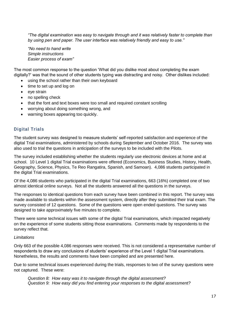*"The digital examination was easy to navigate through and it was relatively faster to complete than by using pen and paper. The user interface was relatively friendly and easy to use."*

*"No need to hand write Simple instructions Easier process of exam"*

The most common response to the question 'What did you dislike most about completing the exam digitally?' was that the sound of other students typing was distracting and noisy. Other dislikes included:

- using the school rather than their own keyboard
- time to set up and log on
- eye strain
- no spelling check
- that the font and text boxes were too small and required constant scrolling
- worrying about doing something wrong, and
- warning boxes appearing too quickly.

## <span id="page-16-0"></span>**Digital Trials**

The student survey was designed to measure students' self-reported satisfaction and experience of the digital Trial examinations, administered by schools during September and October 2016. The survey was also used to trial the questions in anticipation of the surveys to be included with the Pilots.

The survey included establishing whether the students regularly use electronic devices at home and at school. 10 Level 1 digital Trial examinations were offered (Economics, Business Studies, History, Health, Geography, Science, Physics, Te Reo Rangatira, Spanish, and Samoan). 4,086 students participated in the digital Trial examinations.

Of the 4,086 students who participated in the digital Trial examinations, 663 (16%) completed one of two almost identical online surveys. Not all the students answered all the questions in the surveys.

The responses to identical questions from each survey have been combined in this report. The survey was made available to students within the assessment system, directly after they submitted their trial exam. The survey consisted of 12 questions. Some of the questions were open ended questions. The survey was designed to take approximately five minutes to complete.

There were some technical issues with some of the digital Trial examinations, which impacted negatively on the experience of some students sitting those examinations. Comments made by respondents to the survey reflect that.

### *Limitations*

Only 663 of the possible 4,086 responses were received. This is not considered a representative number of respondents to draw any conclusions of students' experience of the Level 1 digital Trial examinations. Nonetheless, the results and comments have been compiled and are presented here.

Due to some technical issues experienced during the trials, responses to two of the survey questions were not captured. These were:

*Question 8: How easy was it to navigate through the digital assessment? Question 9: How easy did you find entering your responses to the digital assessment?*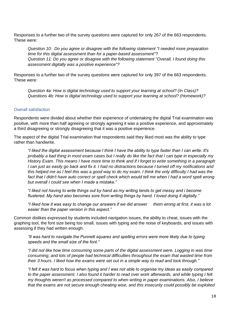Responses to a further two of the survey questions were captured for only 267 of the 663 respondents. These were:

*Question 10: Do you agree or disagree with the following statement "I needed more preparation time for this digital assessment than for a paper-based assessment"? Question 11: Do you agree or disagree with the following statement "Overall, I found doing this assessment digitally was a positive experience"?*

Responses to a further two of the survey questions were captured for only 397 of the 663 respondents. These were:

*Question 4a: How is digital technology used to support your learning at school? (In Class)? Questions 4b: How is digital technology used to support your learning at school? (Homework)?*

### Overall satisfaction

Respondents were divided about whether their experience of undertaking the digital Trial examination was positive, with more than half agreeing or strongly agreeing it was a positive experience, and approximately a third disagreeing or strongly disagreeing that it was a positive experience.

The aspect of the digital Trial examination that respondents said they liked most was the ability to type rather than handwrite.

*"I liked the digital assessment because I think I have the ability to type faster than I can write. It's probably a bad thing in most exam cases but I really do like the fact that I can type in especially my History Exam. This means I have more time to think and if I forget to write something in a paragraph I can just as easily go back and fix it. I had no distractions because I turned off my notifications and this helped me as I feel this was a good way to do my exam. I think the only difficulty I had was the*  fact that I didn't have auto correct or spell check which would tell me when I had a word spelt wrong *but overall I could see when I made a mistake."*

*"I liked not having to write things out by hand as my writing tends to get messy and i become flustered. My hand also becomes sore from writing things by hand. I loved doing it digitally."*

*"I liked how it was easy to change our answers if we did answer them wrong at first, it was a lot easier than the paper version in this aspect."*

Common dislikes expressed by students included navigation issues, the ability to cheat, issues with the graphing tool, the font size being too small, issues with typing and the noise of keyboards, and issues with assessing if they had written enough.

*"It was hard to navigate the Punnett squares and spelling errors were more likely due to typing speeds and the small size of the font."*

*"I did not like how time consuming some parts of the digital assessment were. Logging in was time consuming, and lots of people had technical difficulties throughout the exam that wasted time from their 3 hours. I liked how the exams were set out in a simple way to read and look through."*

*"I felt it was hard to focus when typing and I was not able to organise my ideas as easily compared to the paper assessment. I also found it harder to read over work afterwards, and while typing I felt my thoughts weren't as processed compared to when writing in paper examinations. Also, I believe that the exams are not secure enough cheating wise, and this insecurity could possibly be exploited*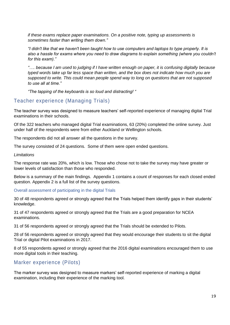*if these exams replace paper examinations. On a positive note, typing up assessments is sometimes faster than writing them down."*

*"I didn't like that we haven't been taught how to use computers and laptops to type properly. It is also a hassle for exams where you need to draw diagrams to explain something (where you couldn't for this exam)."*

*"…. because I am used to judging if I have written enough on paper, it is confusing digitally because typed words take up far less space than written, and the box does not indicate how much you are supposed to write. This could mean people spend way to long on questions that are not supposed to use all at time."*

*"The tapping of the keyboards is so loud and distracting! "*

# <span id="page-18-0"></span>Teacher experience (Managing Trials )

The teacher survey was designed to measure teachers' self-reported experience of managing digital Trial examinations in their schools.

Of the 322 teachers who managed digital Trial examinations, 63 (20%) completed the online survey. Just under half of the respondents were from either Auckland or Wellington schools.

The respondents did not all answer all the questions in the survey.

The survey consisted of 24 questions. Some of them were open ended questions.

#### *Limitations*

The response rate was 20%, which is low. Those who chose not to take the survey may have greater or lower levels of satisfaction than those who responded.

Below is a summary of the main findings. Appendix 1 contains a count of responses for each closed ended question. Appendix 2 is a full list of the survey questions.

Overall assessment of participating in the digital Trials

30 of 48 respondents agreed or strongly agreed that the Trials helped them identify gaps in their students' knowledge.

31 of 47 respondents agreed or strongly agreed that the Trials are a good preparation for NCEA examinations.

31 of 56 respondents agreed or strongly agreed that the Trials should be extended to Pilots.

28 of 56 respondents agreed or strongly agreed that they would encourage their students to sit the digital Trial or digital Pilot examinations in 2017.

8 of 55 respondents agreed or strongly agreed that the 2016 digital examinations encouraged them to use more digital tools in their teaching.

# <span id="page-18-1"></span>Marker experience (Pilots)

The marker survey was designed to measure markers' self-reported experience of marking a digital examination, including their experience of the marking tool.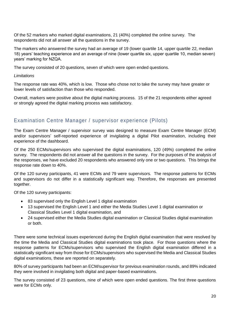Of the 52 markers who marked digital examinations, 21 (40%) completed the online survey. The respondents did not all answer all the questions in the survey.

The markers who answered the survey had an average of 19 (lower quartile 14, upper quartile 22, median 18) years' teaching experience and an average of nine (lower quartile six, upper quartile 10, median seven) years' marking for NZQA.

The survey consisted of 20 questions, seven of which were open ended questions.

## *Limitations*

The response rate was 40%, which is low. Those who chose not to take the survey may have greater or lower levels of satisfaction than those who responded.

Overall, markers were positive about the digital marking process. 15 of the 21 respondents either agreed or strongly agreed the digital marking process was satisfactory.

# <span id="page-19-0"></span>Examination Centre Manager / supervisor experience (Pilots)

The Exam Centre Manager / supervisor survey was designed to measure Exam Centre Manager (ECM) and/or supervisors' self-reported experience of invigilating a digital Pilot examination, including their experience of the dashboard.

Of the 250 ECMs/supervisors who supervised the digital examinations, 120 (49%) completed the online survey. The respondents did not answer all the questions in the survey. For the purposes of the analysis of the responses, we have excluded 20 respondents who answered only one or two questions. This brings the response rate down to 40%.

Of the 120 survey participants, 41 were ECMs and 79 were supervisors. The response patterns for ECMs and supervisors do not differ in a statistically significant way. Therefore, the responses are presented together.

Of the 120 survey participants:

- 83 supervised only the English Level 1 digital examination
- 13 supervised the English Level 1 and either the Media Studies Level 1 digital examination or Classical Studies Level 1 digital examination, and
- 24 supervised either the Media Studies digital examination or Classical Studies digital examination or both.

There were some technical issues experienced during the English digital examination that were resolved by the time the Media and Classical Studies digital examinations took place. For those questions where the response patterns for ECMs/supervisors who supervised the English digital examination differed in a statistically significant way from those for ECMs/supervisors who supervised the Media and Classical Studies digital examinations, these are reported on separately.

80% of survey participants had been an ECM/supervisor for previous examination rounds, and 89% indicated they were involved in invigilating both digital and paper-based examinations.

The survey consisted of 23 questions, nine of which were open ended questions. The first three questions were for ECMs only.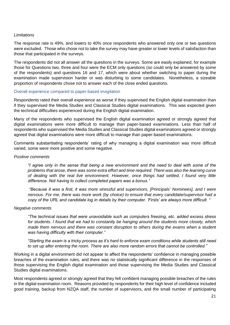### *Limitations*

The response rate is 49%, and lowers to 40% once respondents who answered only one or two questions were excluded. Those who chose not to take the survey may have greater or lower levels of satisfaction than those that participated in the surveys.

The respondents did not all answer all the questions in the surveys. Some are easily explained, for example those for Questions two, three and four were the ECM only questions (so could only be answered by some of the respondents) and questions 16 and 17, which were about whether switching to paper during the examination made supervision harder or was disturbing to some candidates. Nonetheless, a sizeable proportion of respondents chose not to answer each of the close ended questions.

#### Overall experience compared to paper-based invigilation

Respondents rated their overall experience as worse if they supervised the English digital examination than if they supervised the Media Studies and Classical Studies digital examinations. This was expected given the technical difficulties experienced during the English digital examination.

Many of the respondents who supervised the English digital examination agreed or strongly agreed that digital examinations were more difficult to manage than paper-based examinations. Less than half of respondents who supervised the Media Studies and Classical Studies digital examinations agreed or strongly agreed that digital examinations were more difficult to manage than paper-based examinations.

Comments substantiating respondents' rating of why managing a digital examination was more difficult varied, some were more positive and some negative.

#### *Positive comments*

*"I agree only in the sense that being a new environment and the need to deal with some of the problems that arose, there was some extra effort and time required. There was also the learning curve of dealing with the real live environment. However, once things had settled, I found very little difference. Not having to collect completed papers was a bonus."*

*"Because it was a first, it was more stressful and supervisors, [Principals' Nominees], and I were nervous. For me, there was more work (by choice) to ensure that every candidate/supervisor had a copy of the URL and candidate log in details by their computer. 'Firsts' are always more difficult. "*

#### *Negative comments*

*"The technical issues that were unavoidable such as computers freezing, etc. added excess stress for students. I found that we had to constantly be hanging around the students more closely, which made them nervous and there was constant disruption to others during the exams when a student was having difficulty with their computer."*

*"Starting the exam is a tricky process as it's hard to enforce exam conditions while students still need to set up after entering the room. There are also more random errors that cannot be controlled."*

Working in a digital environment did not appear to affect the respondents' confidence in managing possible breaches of the examination rules, and there was no statistically significant difference in the responses of those supervising the English digital examination and those supervising the Media Studies and Classical Studies digital examinations.

Most respondents agreed or strongly agreed that they felt confident managing possible breaches of the rules in the digital examination room. Reasons provided by respondents for their high level of confidence included good training, backup from NZQA staff, the number of supervisors, and the small number of participating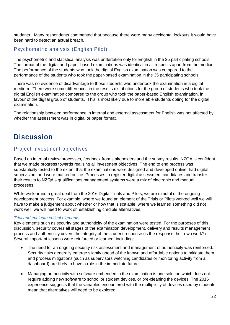students. Many respondents commented that because there were many accidental lockouts it would have been hard to detect an actual breach.

# <span id="page-21-0"></span>Psychometric analysis (English Pilot)

The psychometric and statistical analysis was undertaken only for English in the 35 participating schools. The format of the digital and paper-based examinations was identical in all respects apart from the medium. The performance of the students who took the digital English examination was compared to the performance of the students who took the paper-based examination in the 35 participating schools.

There was no evidence of disadvantage to those students who undertook the examination in a digital medium. There were some differences in the results distributions for the group of students who took the digital English examination compared to the group who took the paper-based English examination, in favour of the digital group of students. This is most likely due to more able students opting for the digital examination.

The relationship between performance in internal and external assessment for English was not affected by whether the assessment was in digital or paper format.

# <span id="page-21-1"></span>**Discussion**

# <span id="page-21-2"></span>Project investment objectives

Based on internal review processes, feedback from stakeholders and the survey results, NZQA is confident that we made progress towards realising all investment objectives. The end to end process was substantially tested to the extent that the examinations were designed and developed online, had digital supervision, and were marked online. Processes to register digital assessment candidates and transfer their results to NZQA's qualifications management systems were a mix of electronic and manual processes.

While we learned a great deal from the 2016 Digital Trials and Pilots, we are mindful of the ongoing development process. For example, where we found an element of the Trials or Pilots worked well we will have to make a judgement about whether or how that is scalable; where we learned something did not work well, we will need to work on establishing credible alternatives.

### <span id="page-21-3"></span>*Trial and evaluate critical elements*

Key elements such as security and authenticity of the examination were tested. For the purposes of this discussion, security covers all stages of the examination development, delivery and results management process and authenticity covers the integrity of the student response (is the response their own work?). Several important lessons were reinforced or learned, including:

- The need for an ongoing security risk assessment and management of authenticity was reinforced. Security risks generally emerge slightly ahead of the known and affordable options to mitigate them and process mitigations (such as supervisors watching candidates or monitoring activity from a dashboard) are likely to have a role in the immediate future.
- Managing authenticity with software embedded in the examination is one solution which does not require adding new software to school or student devices, or pre-cleaning the devices. The 2016 experience suggests that the variables encountered with the multiplicity of devices used by students mean that alternatives will need to be explored.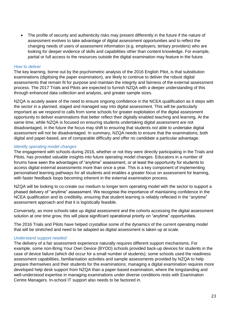• The profile of security and authenticity risks may present differently in the future if the nature of assessment evolves to take advantage of digital assessment opportunities and to reflect the changing needs of users of assessment information (e.g. employers, tertiary providers) who are looking for deeper evidence of skills and capabilities other than content knowledge. For example, partial or full access to the resources outside the digital examination may feature in the future.

### <span id="page-22-0"></span>*How to deliver*

The key learning, borne out by the psychometric analysis of the 2016 English Pilot, is that substitution examinations (digitising the paper examination), are likely to continue to deliver the robust digital assessments that remain fit for purpose and maintain the integrity and fairness of the external assessment process. The 2017 Trials and Pilots are expected to furnish NZQA with a deeper understanding of this through enhanced data collection and analysis, and greater sample sizes.

NZQA is acutely aware of the need to ensure ongoing confidence in the NCEA qualification as it steps with the sector in a planned, staged and managed way into digital assessment. This will be particularly important as we respond to calls from some schools for greater exploitation of the digital assessment opportunity to deliver examinations that better reflect their digitally enabled teaching and learning. At the same time, while NZQA is focused on ensuring students undertaking digital assessment are not disadvantaged, in the future the focus may shift to ensuring that students *not* able to undertake digital assessment will not be disadvantaged. In summary, NZQA needs to ensure that the examinations, both digital and paper-based, are of comparable difficulty and offer no candidate a particular advantage.

### <span id="page-22-1"></span>*Identify operating model changes*

The engagement with schools during 2016, whether or not they were directly participating in the Trials and Pilots, has provided valuable insights into future operating model changes. Educators in a number of forums have seen the advantages of "anytime" assessment, or at least the opportunity for students to access digital external assessments more than once a year. This is a key component of implementing personalised learning pathways for all students and enables a greater focus on assessment for learning, with faster feedback loops becoming inherent in the external examination process.

NZQA will be looking to co-create our medium to longer term operating model with the sector to support a phased delivery of "anytime" assessment. We recognise the importance of maintaining confidence in the NCEA qualification and its credibility, ensuring that student learning is reliably reflected in the "anytime" assessment approach and that it is logistically feasible.

Conversely, as more schools take up digital assessment and the cohorts accessing the digital assessment solution at one time grow, this will place significant operational priority on "anytime" opportunities.

The 2016 Trials and Pilots have helped crystallise some of the dynamics of the current operating model that will be stretched and need to be adapted as digital assessment is taken up at scale.

### <span id="page-22-2"></span>*Understand support needed*

The delivery of a fair assessment experience naturally requires different support mechanisms. For example, some non-Bring Your Own Device (BYOD) schools provided back-up devices for students in the case of device failure (which did occur for a small number of students); some schools used the readiness assessment capabilities, familiarisation activities and sample assessments provided by NZQA to help prepare themselves and their students for the examinations; managing a digital examination requires more developed help desk support from NZQA than a paper-based examination, where the longstanding and well-understood expertise in managing examinations under diverse conditions rests with Examination Centre Managers. In-school IT support also needs to be factored in.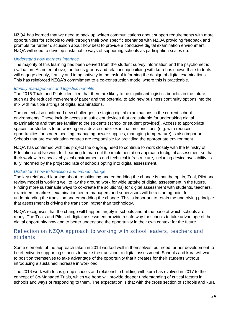NZQA has learned that we need to back up written communications about support requirements with more opportunities for schools to walk through their own specific scenarios with NZQA providing feedback and prompts for further discussion about how best to provide a conducive digital examination environment. NZQA will need to develop sustainable ways of supporting schools as participation scales up.

## <span id="page-23-0"></span>*Understand how learners interface*

The majority of this learning has been derived from the student survey information and the psychometric evaluation. As noted above, the focus groups and relationship building with kura has shown that students will engage deeply, frankly and imaginatively in the task of informing the design of digital examinations. This has reinforced NZQA's commitment to a co-construction model where this is practicable.

### <span id="page-23-1"></span>*Identify management and logistics benefits*

The 2016 Trials and Pilots identified that there are likely to be significant logistics benefits in the future, such as the reduced movement of paper and the potential to add new business continuity options into the mix with multiple sittings of digital examinations.

The project also confirmed new challenges in staging digital examinations in the current school environments. These include access to sufficient devices that are suitable for undertaking digital examinations and that are familiar to the students (school or student provided). Access to appropriate spaces for students to be working on a device under examination conditions (e.g. with reduced opportunities for screen peeking, managing power supplies, managing temperature) is also important. Schools that are examination centres are responsible for providing the appropriate environment.

NZQA has confirmed with this project the ongoing need to continue to work closely with the Ministry of Education and Network for Learning to map out the implementation approach to digital assessment so that their work with schools' physical environments and technical infrastructure, including device availability, is fully informed by the projected rate of schools opting into digital assessment.

### <span id="page-23-2"></span>*Understand how to transition and embed change*

The key reinforced learning about transitioning and embedding the change is that the opt in, Trial, Pilot and review model is working well to lay the ground work for wide uptake of digital assessment in the future. Finding more sustainable ways to co-create the solution(s) for digital assessment with students, teachers, examiners, markers, examination centre managers and supervisors will be a starting point for understanding the transition and embedding the change. This is important to retain the underlying principle that assessment is driving the transition, rather than technology.

NZQA recognises that the change will happen largely in schools and at the pace at which schools are ready. The Trials and Pilots of digital assessment provide a safe way for schools to take advantage of the digital opportunity now and to better understand the opportunity in their own context for the future.

# <span id="page-23-3"></span>Reflection on NZQA approach to working with school leaders, teachers and students

Some elements of the approach taken in 2016 worked well in themselves, but need further development to be effective in supporting schools to make the transition to digital assessment. Schools and kura will want to position themselves to take advantage of the opportunity that it creates for their students without introducing a sustained increase in workload.

The 2016 work with focus group schools and relationship building with kura has evolved in 2017 to the concept of Co-Managed Trials, which we hope will provide deeper understanding of critical factors in schools and ways of responding to them. The expectation is that with the cross section of schools and kura